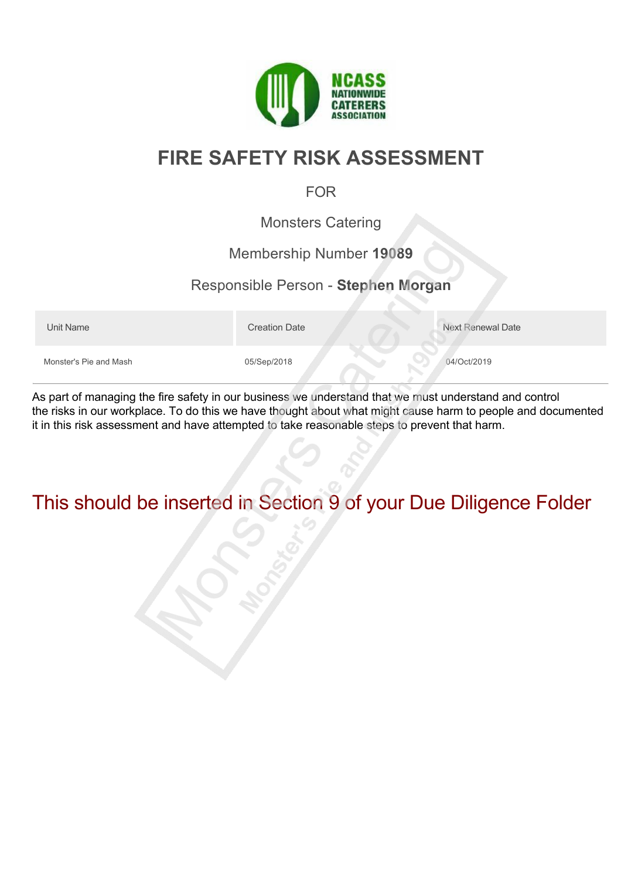

# **FIRE SAFETY RISK ASSESSMENT**

### FOR

Monsters Catering

#### Membership Number **19089**

#### Responsible Person - **Stephen Morgan**

Unit Name **Next Renewal Date** Creation Date Next Renewal Date Monster's Pie and Mash 05/Sep/2018 06/Sep/2018 04/Oct/2019

As part of managing the fire safety in our business we understand that we must understand and control the risks in our workplace. To do this we have thought about what might cause harm to people and documented it in this risk assessment and have attempted to take reasonable steps to prevent that harm.

# This should be inserted in Section 9 of your Due Diligence Folder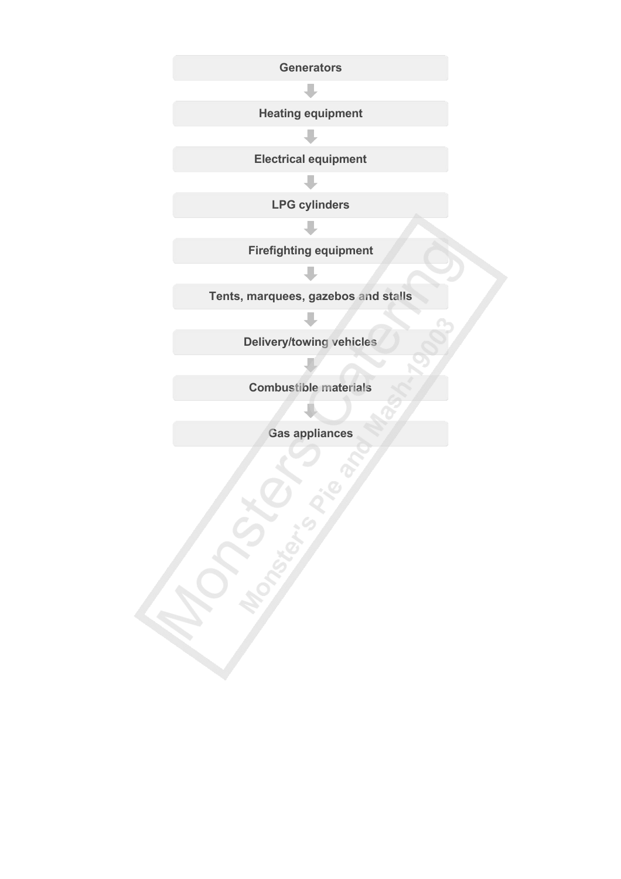**Generators** 

**Heating equipment** J.

**Electrical equipment**

n.

**LPG cylinders**  $\mathbb{R}^n$ 

**Firefighting equipment**

**Tents, marquees, gazebos and stalls** JT.

**Fill** 

**Delivery/towing vehicles**

**Combustible materials**

**Gas appliances**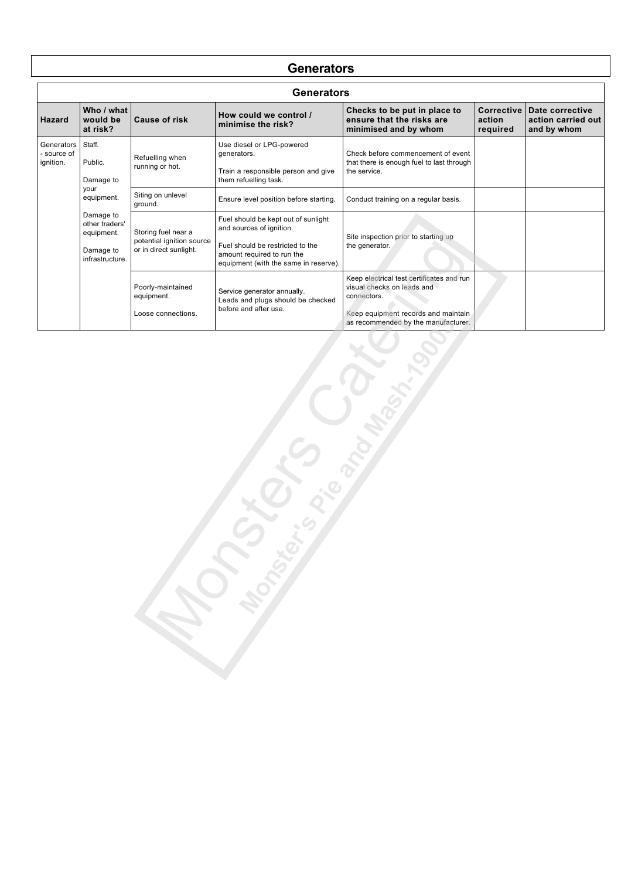#### **Generators**

|                                          | Generators                                                                                                                        |                                                                            |                                                                                                                                                                            |                                                                                                                                                                      |                                  |                                                      |  |  |  |
|------------------------------------------|-----------------------------------------------------------------------------------------------------------------------------------|----------------------------------------------------------------------------|----------------------------------------------------------------------------------------------------------------------------------------------------------------------------|----------------------------------------------------------------------------------------------------------------------------------------------------------------------|----------------------------------|------------------------------------------------------|--|--|--|
| <b>Hazard</b>                            | Who / what<br>would be<br>at risk?                                                                                                | Cause of risk                                                              | How could we control /<br>minimise the risk?                                                                                                                               | Checks to be put in place to<br>ensure that the risks are<br>minimised and by whom                                                                                   | Corrective<br>action<br>required | Date corrective<br>action carried out<br>and by whom |  |  |  |
| Generators I<br>- source of<br>ignition. | Staff.<br>Public.<br>Damage to<br>your<br>equipment.<br>Damage to<br>other traders'<br>equipment.<br>Damage to<br>infrastructure. | Refuelling when<br>running or hot.                                         | Use diesel or LPG-powered<br>generators.<br>Train a responsible person and give<br>them refuelling task.                                                                   | Check before commencement of event<br>that there is enough fuel to last through<br>the service.                                                                      |                                  |                                                      |  |  |  |
|                                          |                                                                                                                                   | Siting on unlevel<br>ground.                                               | Ensure level position before starting.                                                                                                                                     | Conduct training on a regular basis.                                                                                                                                 |                                  |                                                      |  |  |  |
|                                          |                                                                                                                                   | Storing fuel near a<br>potential ignition source<br>or in direct sunlight. | Fuel should be kept out of sunlight<br>and sources of ignition.<br>Fuel should be restricted to the<br>amount required to run the<br>equipment (with the same in reserve). | Site inspection prior to starting up<br>the generator.                                                                                                               |                                  |                                                      |  |  |  |
|                                          |                                                                                                                                   | Poorly-maintained<br>equipment.<br>Loose connections.                      | Service generator annually.<br>Leads and plugs should be checked<br>before and after use.                                                                                  | Keep electrical test certificates and run<br>visual checks on leads and<br>connectors.<br>Keep equipment records and maintain<br>as recommended by the manufacturer. |                                  |                                                      |  |  |  |

S.P. Concert Registration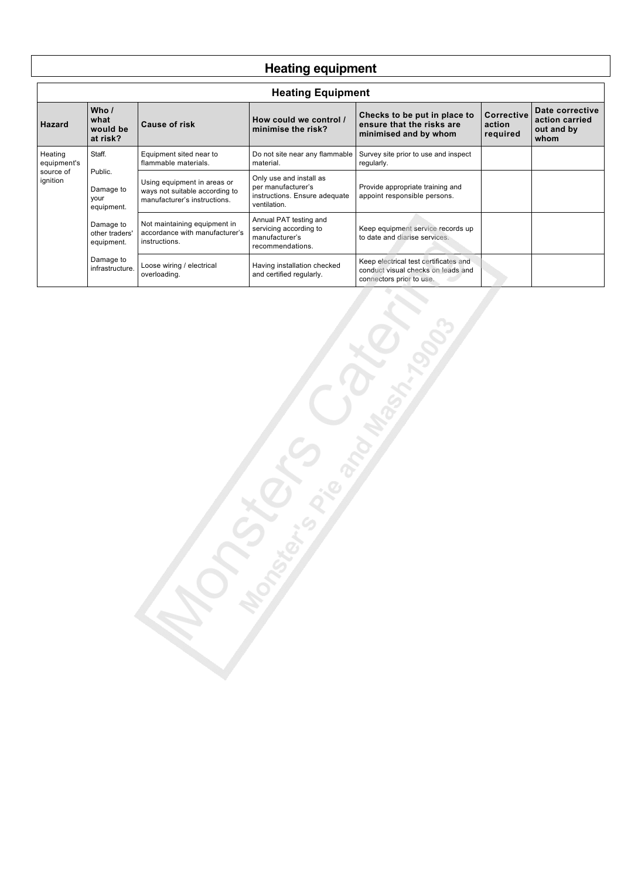# **Heating equipment**

| <b>Heating Equipment</b>                        |                                                                                         |                                                                                               |                                                                                                |                                                                                                         |                                  |                                                         |  |  |
|-------------------------------------------------|-----------------------------------------------------------------------------------------|-----------------------------------------------------------------------------------------------|------------------------------------------------------------------------------------------------|---------------------------------------------------------------------------------------------------------|----------------------------------|---------------------------------------------------------|--|--|
| Hazard                                          | Who /<br>what<br>would be<br>at risk?                                                   | Cause of risk                                                                                 | How could we control /<br>minimise the risk?                                                   | Checks to be put in place to<br>ensure that the risks are<br>minimised and by whom                      | Corrective<br>action<br>required | Date corrective<br>action carried<br>out and by<br>whom |  |  |
| Heating<br>equipment's<br>source of<br>ignition | Staff.                                                                                  | Equipment sited near to<br>flammable materials.                                               | Do not site near any flammable<br>material.                                                    | Survey site prior to use and inspect<br>regularly.                                                      |                                  |                                                         |  |  |
|                                                 | Public.<br>Damage to<br>your<br>equipment.<br>Damage to<br>other traders'<br>equipment. | Using equipment in areas or<br>ways not suitable according to<br>manufacturer's instructions. | Only use and install as<br>per manufacturer's<br>instructions. Ensure adequate<br>ventilation. | Provide appropriate training and<br>appoint responsible persons.                                        |                                  |                                                         |  |  |
|                                                 |                                                                                         | Not maintaining equipment in<br>accordance with manufacturer's<br>instructions.               | Annual PAT testing and<br>servicing according to<br>manufacturer's<br>recommendations.         | Keep equipment service records up<br>to date and diarise services.                                      |                                  |                                                         |  |  |
|                                                 | Damage to<br>infrastructure.                                                            | Loose wiring / electrical<br>overloading.                                                     | Having installation checked<br>and certified regularly.                                        | Keep electrical test certificates and<br>conduct visual checks on leads and<br>connectors prior to use. |                                  |                                                         |  |  |

Marian Creator Cash

r<br>I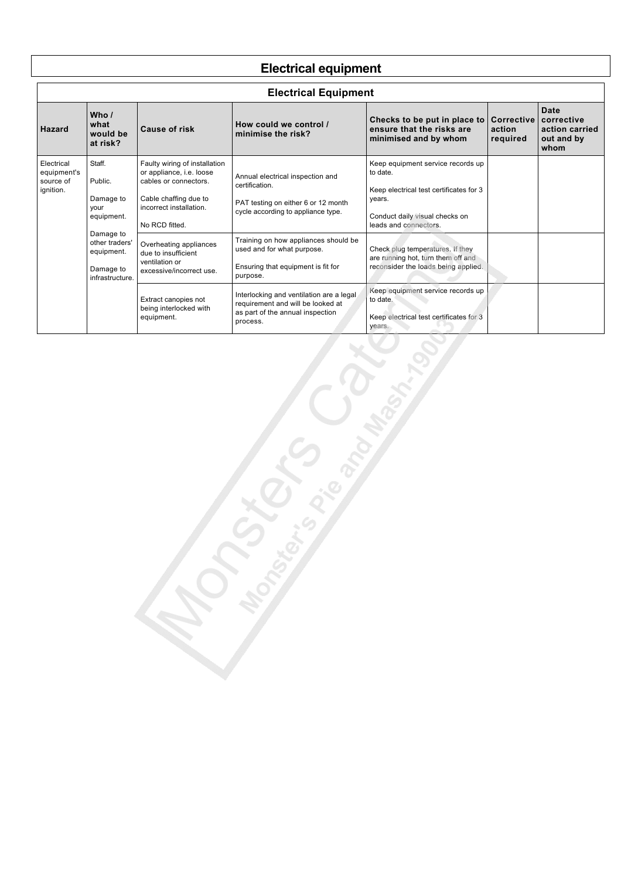# **Electrical equipment**

| <b>Electrical Equipment</b>                                                      |                                                        |                                                                                                                                                          |                                                                                                                                 |                                                                                                                                                               |                                                                                                               |                                                            |  |  |  |
|----------------------------------------------------------------------------------|--------------------------------------------------------|----------------------------------------------------------------------------------------------------------------------------------------------------------|---------------------------------------------------------------------------------------------------------------------------------|---------------------------------------------------------------------------------------------------------------------------------------------------------------|---------------------------------------------------------------------------------------------------------------|------------------------------------------------------------|--|--|--|
| <b>Hazard</b>                                                                    | Who $\prime$<br>what<br>would be<br>at risk?           | <b>Cause of risk</b>                                                                                                                                     | How could we control /<br>minimise the risk?                                                                                    | Checks to be put in place to<br>ensure that the risks are<br>minimised and by whom                                                                            | Corrective<br>action<br>required                                                                              | Date<br>corrective<br>action carried<br>out and by<br>whom |  |  |  |
| Staff.<br>Electrical<br>equipment's<br>Public.<br>source of<br>ignition.<br>your | Damage to<br>equipment.                                | Faulty wiring of installation<br>or appliance, i.e. loose<br>cables or connectors.<br>Cable chaffing due to<br>incorrect installation.<br>No RCD fitted. | Annual electrical inspection and<br>certification.<br>PAT testing on either 6 or 12 month<br>cycle according to appliance type. | Keep equipment service records up<br>to date.<br>Keep electrical test certificates for 3<br>years.<br>Conduct daily visual checks on<br>leads and connectors. |                                                                                                               |                                                            |  |  |  |
|                                                                                  | Damage to<br>other traders'<br>equipment.<br>Damage to | infrastructure.                                                                                                                                          | Overheating appliances<br>due to insufficient<br>ventilation or<br>excessive/incorrect use.                                     | Training on how appliances should be<br>used and for what purpose.<br>Ensuring that equipment is fit for<br>purpose.                                          | Check plug temperatures. If they<br>are running hot, turn them off and<br>reconsider the loads being applied. |                                                            |  |  |  |
|                                                                                  |                                                        | Extract canopies not<br>being interlocked with<br>equipment.                                                                                             | Interlocking and ventilation are a legal<br>requirement and will be looked at<br>as part of the annual inspection<br>process.   | Keep equipment service records up<br>to date.<br>Keep electrical test certificates for 3<br>years.                                                            |                                                                                                               |                                                            |  |  |  |

S.P. S. Contraction of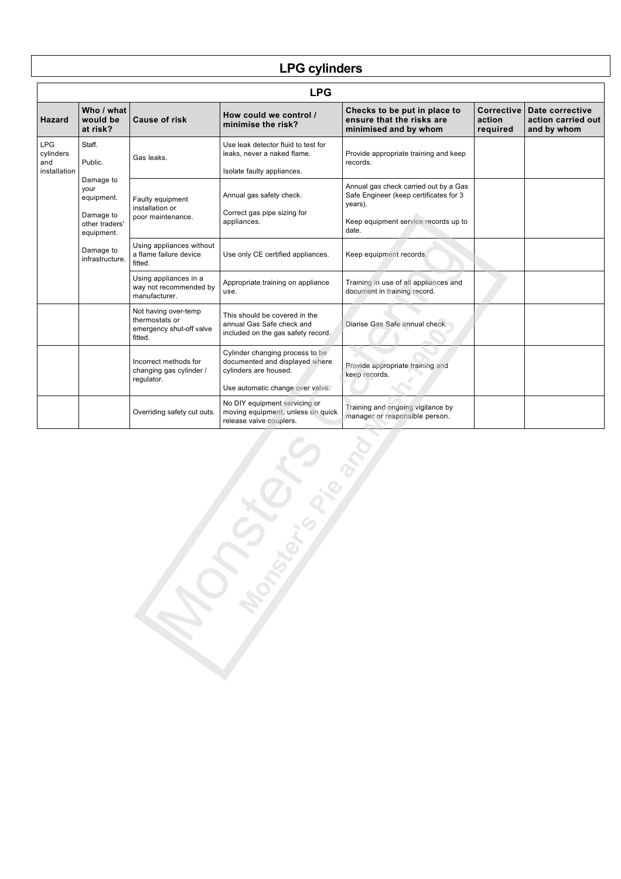# **LPG cylinders**

| <b>LPG</b>                                     |                                                                              |                                                                               |                                                                                                                                |                                                                                                                                             |                                  |                                                      |  |
|------------------------------------------------|------------------------------------------------------------------------------|-------------------------------------------------------------------------------|--------------------------------------------------------------------------------------------------------------------------------|---------------------------------------------------------------------------------------------------------------------------------------------|----------------------------------|------------------------------------------------------|--|
| Hazard                                         | Who / what<br>would be<br>at risk?                                           | <b>Cause of risk</b>                                                          | How could we control /<br>minimise the risk?                                                                                   | Checks to be put in place to<br>ensure that the risks are<br>minimised and by whom                                                          | Corrective<br>action<br>required | Date corrective<br>action carried out<br>and by whom |  |
| <b>LPG</b><br>cylinders<br>and<br>installation | Staff.<br>Public.                                                            | Gas leaks.                                                                    | Use leak detector fluid to test for<br>leaks, never a naked flame.<br>Isolate faulty appliances.                               | Provide appropriate training and keep<br>records.                                                                                           |                                  |                                                      |  |
|                                                | Damage to<br>your<br>equipment.<br>Damage to<br>other traders'<br>equipment. | Faulty equipment<br>installation or<br>poor maintenance.                      | Annual gas safety check.<br>Correct gas pipe sizing for<br>appliances.                                                         | Annual gas check carried out by a Gas<br>Safe Engineer (keep certificates for 3<br>years).<br>Keep equipment service records up to<br>date. |                                  |                                                      |  |
|                                                | Damage to<br>infrastructure.                                                 | Using appliances without<br>a flame failure device<br>fitted.                 | Use only CE certified appliances.                                                                                              | Keep equipment records.                                                                                                                     |                                  |                                                      |  |
|                                                |                                                                              | Using appliances in a<br>way not recommended by<br>manufacturer.              | Appropriate training on appliance<br>use.                                                                                      | Training in use of all appliances and<br>document in training record.                                                                       |                                  |                                                      |  |
|                                                |                                                                              | Not having over-temp<br>thermostats or<br>emergency shut-off valve<br>fitted. | This should be covered in the<br>annual Gas Safe check and<br>included on the gas safety record.                               | Diarise Gas Safe annual check.                                                                                                              |                                  |                                                      |  |
|                                                |                                                                              | Incorrect methods for<br>changing gas cylinder /<br>regulator.                | Cylinder changing process to be<br>documented and displayed where<br>cylinders are housed.<br>Use automatic change over valve. | Provide appropriate training and<br>keep records.                                                                                           |                                  |                                                      |  |
|                                                |                                                                              | Overriding safety cut outs.                                                   | No DIY equipment servicing or<br>moving equipment, unless on quick<br>release valve couplers.                                  | Training and ongoing vigilance by<br>manager or responsible person.                                                                         |                                  |                                                      |  |
| S House of                                     |                                                                              |                                                                               |                                                                                                                                |                                                                                                                                             |                                  |                                                      |  |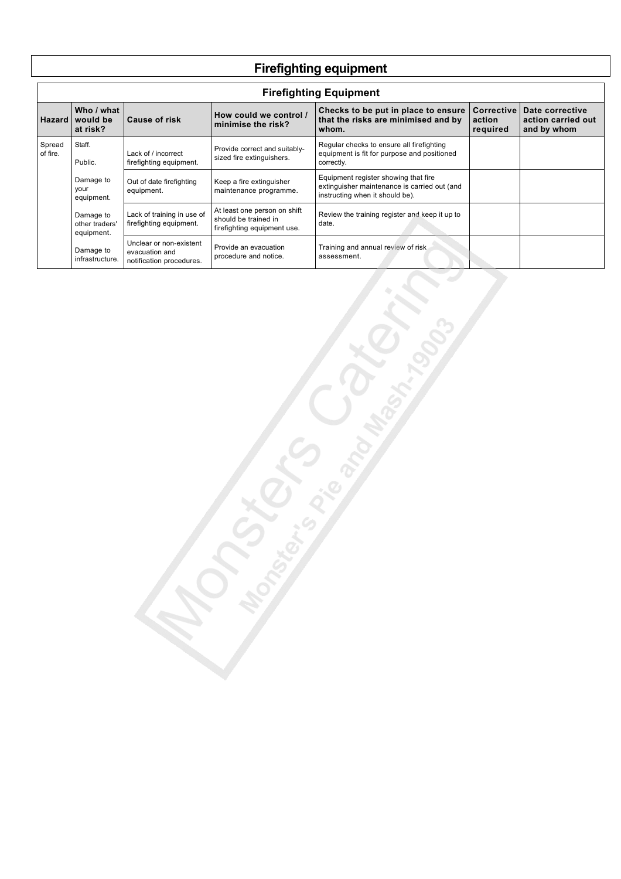# **Firefighting equipment**

|                    | <b>Firefighting Equipment</b>             |                                                                       |                                                                                     |                                                                                                                         |                                         |                                                      |  |  |  |
|--------------------|-------------------------------------------|-----------------------------------------------------------------------|-------------------------------------------------------------------------------------|-------------------------------------------------------------------------------------------------------------------------|-----------------------------------------|------------------------------------------------------|--|--|--|
| <b>Hazard</b>      | Who / what<br>would be<br>at risk?        | <b>Cause of risk</b>                                                  | How could we control /<br>minimise the risk?                                        | Checks to be put in place to ensure<br>that the risks are minimised and by<br>whom.                                     | <b>Corrective</b><br>action<br>required | Date corrective<br>action carried out<br>and by whom |  |  |  |
| Spread<br>of fire. | Staff.<br>Public.                         | Lack of / incorrect<br>firefighting equipment.                        | Provide correct and suitably-<br>sized fire extinguishers.                          | Regular checks to ensure all firefighting<br>equipment is fit for purpose and positioned<br>correctly.                  |                                         |                                                      |  |  |  |
|                    | Damage to<br>your<br>equipment.           | Out of date firefighting<br>equipment.                                | Keep a fire extinguisher<br>maintenance programme.                                  | Equipment register showing that fire<br>extinguisher maintenance is carried out (and<br>instructing when it should be). |                                         |                                                      |  |  |  |
|                    | Damage to<br>other traders'<br>equipment. | Lack of training in use of<br>firefighting equipment.                 | At least one person on shift<br>should be trained in<br>firefighting equipment use. | Review the training register and keep it up to<br>date.                                                                 |                                         |                                                      |  |  |  |
|                    | Damage to<br>infrastructure.              | Unclear or non-existent<br>evacuation and<br>notification procedures. | Provide an evacuation<br>procedure and notice.                                      | Training and annual review of risk<br>assessment.                                                                       |                                         |                                                      |  |  |  |

Grippo Carpet R

٦

 $\overline{1}$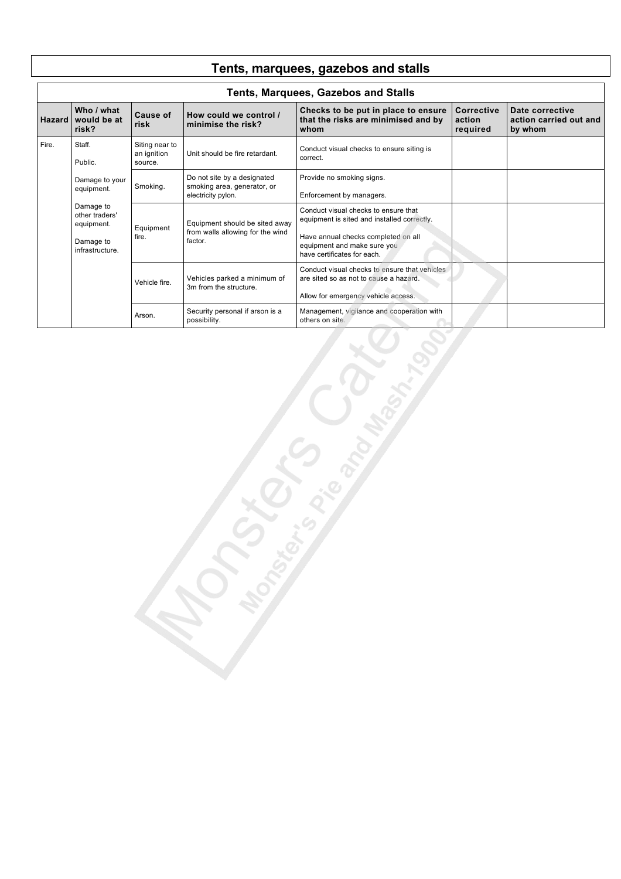|       | <b>Tents, Marquees, Gazebos and Stalls</b>                                |                                          |                                                                                  |                                                                                                                                                                                          |                                         |                                                      |  |  |  |
|-------|---------------------------------------------------------------------------|------------------------------------------|----------------------------------------------------------------------------------|------------------------------------------------------------------------------------------------------------------------------------------------------------------------------------------|-----------------------------------------|------------------------------------------------------|--|--|--|
|       | Who / what<br>Hazard would be at<br>risk?                                 | Cause of<br>risk                         | How could we control /<br>minimise the risk?                                     | Checks to be put in place to ensure<br>that the risks are minimised and by<br>whom                                                                                                       | <b>Corrective</b><br>action<br>required | Date corrective<br>action carried out and<br>by whom |  |  |  |
| Fire. | Staff.<br>Public.                                                         | Siting near to<br>an ignition<br>source. | Unit should be fire retardant.                                                   | Conduct visual checks to ensure siting is<br>correct.                                                                                                                                    |                                         |                                                      |  |  |  |
|       | Damage to your<br>equipment.                                              | Smoking.                                 | Do not site by a designated<br>smoking area, generator, or<br>electricity pylon. | Provide no smoking signs.<br>Enforcement by managers.                                                                                                                                    |                                         |                                                      |  |  |  |
|       | Damage to<br>other traders'<br>equipment.<br>Damage to<br>infrastructure. | Equipment<br>fire.                       | Equipment should be sited away<br>from walls allowing for the wind<br>factor.    | Conduct visual checks to ensure that<br>equipment is sited and installed correctly.<br>Have annual checks completed on all<br>equipment and make sure you<br>have certificates for each. |                                         |                                                      |  |  |  |
|       |                                                                           | Vehicle fire.                            | Vehicles parked a minimum of<br>3m from the structure.                           | Conduct visual checks to ensure that vehicles<br>are sited so as not to cause a hazard.<br>Allow for emergency vehicle access.                                                           |                                         |                                                      |  |  |  |
|       |                                                                           | Arson.                                   | Security personal if arson is a<br>possibility.                                  | Management, vigilance and cooperation with<br>others on site.                                                                                                                            |                                         |                                                      |  |  |  |

S Pice and Marine of

Campying C

**Tents, marquees, gazebos and stalls**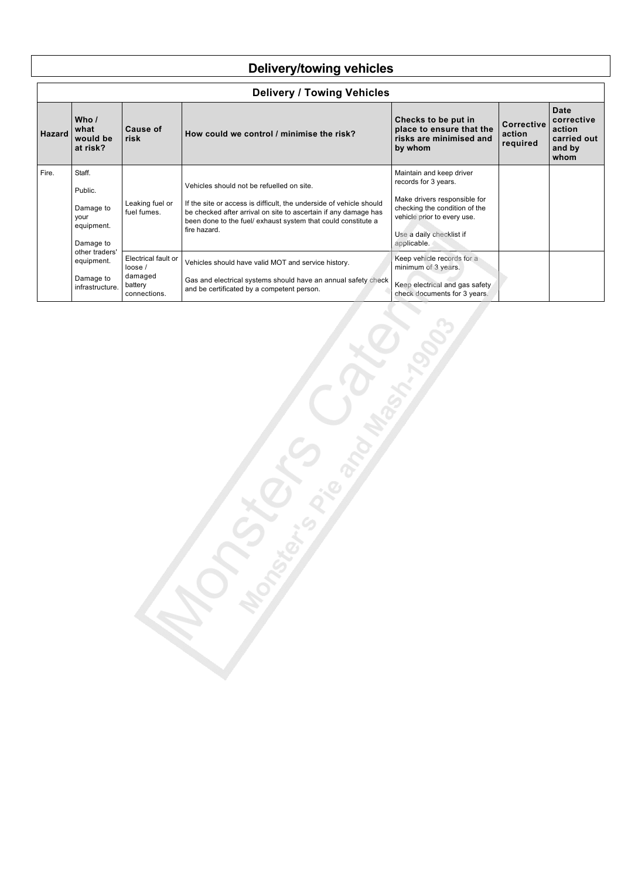## **Delivery/towing vehicles**

|               | <b>Delivery / Towing Vehicles</b>                                 |                                                                     |                                                                                                                                                                                                                                                                      |                                                                                                                                                                                             |                                         |                                                               |  |  |  |  |  |
|---------------|-------------------------------------------------------------------|---------------------------------------------------------------------|----------------------------------------------------------------------------------------------------------------------------------------------------------------------------------------------------------------------------------------------------------------------|---------------------------------------------------------------------------------------------------------------------------------------------------------------------------------------------|-----------------------------------------|---------------------------------------------------------------|--|--|--|--|--|
| <b>Hazard</b> | Who $/$<br>what<br>would be<br>at risk?                           | Cause of<br>risk                                                    | How could we control / minimise the risk?                                                                                                                                                                                                                            | Checks to be put in<br>place to ensure that the<br>risks are minimised and<br>by whom                                                                                                       | <b>Corrective</b><br>action<br>required | Date<br>corrective<br>action<br>carried out<br>and by<br>whom |  |  |  |  |  |
| Fire.         | Staff.<br>Public.<br>Damage to<br>your<br>equipment.<br>Damage to | Leaking fuel or<br>fuel fumes.                                      | Vehicles should not be refuelled on site.<br>If the site or access is difficult, the underside of vehicle should<br>be checked after arrival on site to ascertain if any damage has<br>been done to the fuel/ exhaust system that could constitute a<br>fire hazard. | Maintain and keep driver<br>records for 3 years.<br>Make drivers responsible for<br>checking the condition of the<br>vehicle prior to every use.<br>Use a daily checklist if<br>applicable. |                                         |                                                               |  |  |  |  |  |
|               | other traders'<br>equipment.<br>Damage to<br>infrastructure.      | Electrical fault or<br>loose/<br>damaged<br>battery<br>connections. | Vehicles should have valid MOT and service history.<br>Gas and electrical systems should have an annual safety check<br>and be certificated by a competent person.                                                                                                   | Keep vehicle records for a<br>minimum of 3 years.<br>Keep electrical and gas safety<br>check documents for 3 years.                                                                         |                                         |                                                               |  |  |  |  |  |

Leis Creatures Creek

 $\overline{\phantom{a}}$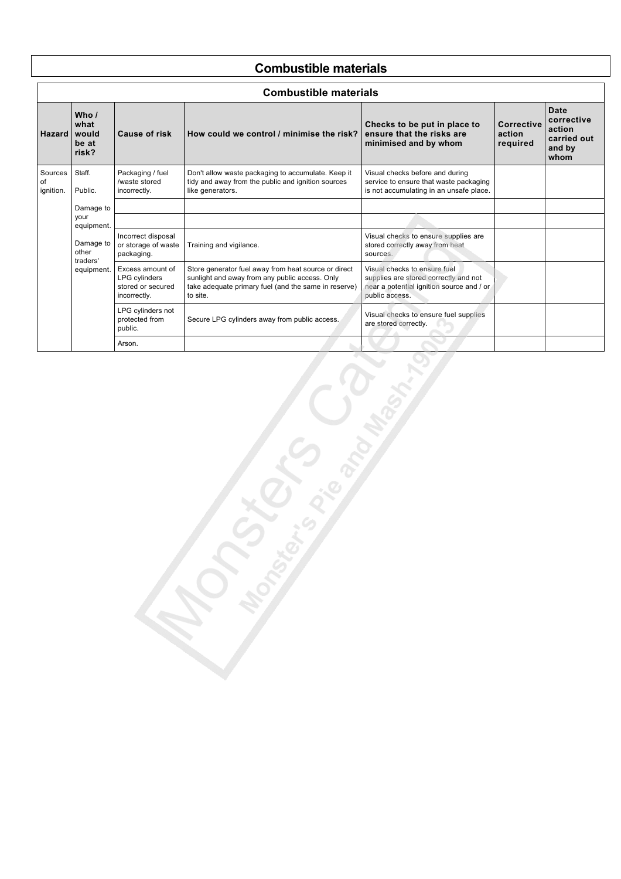#### **Combustible materials**

| <b>Combustible materials</b> |                                                            |                                                                               |                                                                                                                                                                            |                                                                                                                                      |                                         |                                                                      |  |
|------------------------------|------------------------------------------------------------|-------------------------------------------------------------------------------|----------------------------------------------------------------------------------------------------------------------------------------------------------------------------|--------------------------------------------------------------------------------------------------------------------------------------|-----------------------------------------|----------------------------------------------------------------------|--|
| <b>Hazard</b>                | Who /<br>what<br>would<br>be at<br>risk?                   | <b>Cause of risk</b>                                                          | How could we control / minimise the risk?                                                                                                                                  | Checks to be put in place to<br>ensure that the risks are<br>minimised and by whom                                                   | <b>Corrective</b><br>action<br>required | <b>Date</b><br>corrective<br>action<br>carried out<br>and by<br>whom |  |
| Sources<br>of<br>ignition.   | Staff.<br>Public.                                          | Packaging / fuel<br>/waste stored<br>incorrectly.                             | Don't allow waste packaging to accumulate. Keep it<br>tidy and away from the public and ignition sources<br>like generators.                                               | Visual checks before and during<br>service to ensure that waste packaging<br>is not accumulating in an unsafe place.                 |                                         |                                                                      |  |
|                              | Damage to<br>your                                          |                                                                               |                                                                                                                                                                            |                                                                                                                                      |                                         |                                                                      |  |
|                              | equipment.<br>Damage to<br>other<br>traders'<br>equipment. | Incorrect disposal<br>or storage of waste<br>packaging.                       | Training and vigilance.                                                                                                                                                    | Visual checks to ensure supplies are<br>stored correctly away from heat<br>sources.                                                  |                                         |                                                                      |  |
|                              |                                                            | Excess amount of<br><b>LPG</b> cylinders<br>stored or secured<br>incorrectly. | Store generator fuel away from heat source or direct<br>sunlight and away from any public access. Only<br>take adequate primary fuel (and the same in reserve)<br>to site. | Visual checks to ensure fuel<br>supplies are stored correctly and not<br>near a potential ignition source and / or<br>public access. |                                         |                                                                      |  |
|                              |                                                            | LPG cylinders not<br>protected from<br>public.                                | Secure LPG cylinders away from public access.                                                                                                                              | Visual checks to ensure fuel supplies<br>are stored correctly.                                                                       |                                         |                                                                      |  |
|                              |                                                            | Arson.                                                                        |                                                                                                                                                                            |                                                                                                                                      |                                         |                                                                      |  |
|                              |                                                            |                                                                               |                                                                                                                                                                            |                                                                                                                                      |                                         |                                                                      |  |

I TO STRONG